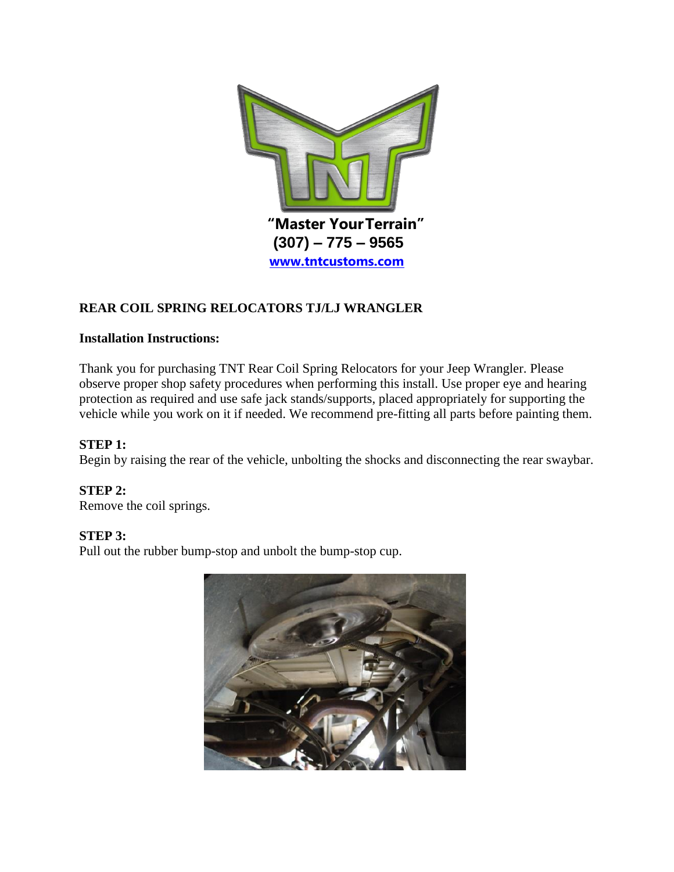

# **REAR COIL SPRING RELOCATORS TJ/LJ WRANGLER**

## **Installation Instructions:**

Thank you for purchasing TNT Rear Coil Spring Relocators for your Jeep Wrangler. Please observe proper shop safety procedures when performing this install. Use proper eye and hearing protection as required and use safe jack stands/supports, placed appropriately for supporting the vehicle while you work on it if needed. We recommend pre-fitting all parts before painting them.

## **STEP 1:**

Begin by raising the rear of the vehicle, unbolting the shocks and disconnecting the rear swaybar.

## **STEP 2:**

Remove the coil springs.

## **STEP 3:**

Pull out the rubber bump-stop and unbolt the bump-stop cup.

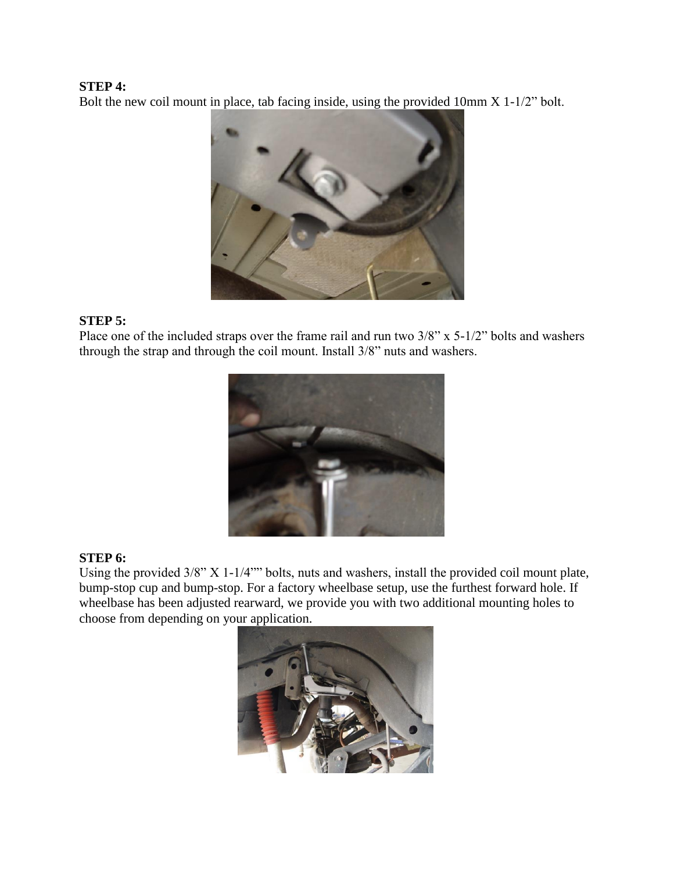#### **STEP 4:**

Bolt the new coil mount in place, tab facing inside, using the provided 10mm X 1-1/2" bolt.



#### **STEP 5:**

Place one of the included straps over the frame rail and run two 3/8" x 5-1/2" bolts and washers through the strap and through the coil mount. Install 3/8" nuts and washers.



## **STEP 6:**

Using the provided 3/8" X 1-1/4"" bolts, nuts and washers, install the provided coil mount plate, bump-stop cup and bump-stop. For a factory wheelbase setup, use the furthest forward hole. If wheelbase has been adjusted rearward, we provide you with two additional mounting holes to choose from depending on your application.